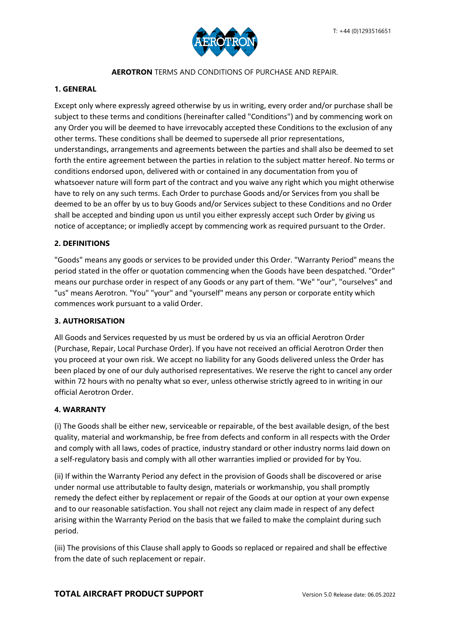

## **AEROTRON** TERMS AND CONDITIONS OF PURCHASE AND REPAIR.

## **1. GENERAL**

Except only where expressly agreed otherwise by us in writing, every order and/or purchase shall be subject to these terms and conditions (hereinafter called "Conditions") and by commencing work on any Order you will be deemed to have irrevocably accepted these Conditions to the exclusion of any other terms. These conditions shall be deemed to supersede all prior representations, understandings, arrangements and agreements between the parties and shall also be deemed to set forth the entire agreement between the parties in relation to the subject matter hereof. No terms or conditions endorsed upon, delivered with or contained in any documentation from you of whatsoever nature will form part of the contract and you waive any right which you might otherwise have to rely on any such terms. Each Order to purchase Goods and/or Services from you shall be deemed to be an offer by us to buy Goods and/or Services subject to these Conditions and no Order shall be accepted and binding upon us until you either expressly accept such Order by giving us notice of acceptance; or impliedly accept by commencing work as required pursuant to the Order.

## **2. DEFINITIONS**

"Goods" means any goods or services to be provided under this Order. "Warranty Period" means the period stated in the offer or quotation commencing when the Goods have been despatched. "Order" means our purchase order in respect of any Goods or any part of them. "We" "our", "ourselves" and "us" means Aerotron. "You" "your" and "yourself" means any person or corporate entity which commences work pursuant to a valid Order.

## **3. AUTHORISATION**

All Goods and Services requested by us must be ordered by us via an official Aerotron Order (Purchase, Repair, Local Purchase Order). If you have not received an official Aerotron Order then you proceed at your own risk. We accept no liability for any Goods delivered unless the Order has been placed by one of our duly authorised representatives. We reserve the right to cancel any order within 72 hours with no penalty what so ever, unless otherwise strictly agreed to in writing in our official Aerotron Order.

## **4. WARRANTY**

(i) The Goods shall be either new, serviceable or repairable, of the best available design, of the best quality, material and workmanship, be free from defects and conform in all respects with the Order and comply with all laws, codes of practice, industry standard or other industry norms laid down on a self-regulatory basis and comply with all other warranties implied or provided for by You.

(ii) If within the Warranty Period any defect in the provision of Goods shall be discovered or arise under normal use attributable to faulty design, materials or workmanship, you shall promptly remedy the defect either by replacement or repair of the Goods at our option at your own expense and to our reasonable satisfaction. You shall not reject any claim made in respect of any defect arising within the Warranty Period on the basis that we failed to make the complaint during such period.

(iii) The provisions of this Clause shall apply to Goods so replaced or repaired and shall be effective from the date of such replacement or repair.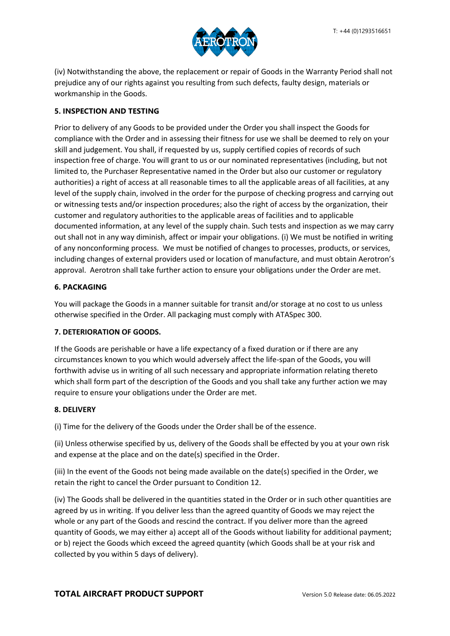

(iv) Notwithstanding the above, the replacement or repair of Goods in the Warranty Period shall not prejudice any of our rights against you resulting from such defects, faulty design, materials or workmanship in the Goods.

## **5. INSPECTION AND TESTING**

Prior to delivery of any Goods to be provided under the Order you shall inspect the Goods for compliance with the Order and in assessing their fitness for use we shall be deemed to rely on your skill and judgement. You shall, if requested by us, supply certified copies of records of such inspection free of charge. You will grant to us or our nominated representatives (including, but not limited to, the Purchaser Representative named in the Order but also our customer or regulatory authorities) a right of access at all reasonable times to all the applicable areas of all facilities, at any level of the supply chain, involved in the order for the purpose of checking progress and carrying out or witnessing tests and/or inspection procedures; also the right of access by the organization, their customer and regulatory authorities to the applicable areas of facilities and to applicable documented information, at any level of the supply chain. Such tests and inspection as we may carry out shall not in any way diminish, affect or impair your obligations. (i) We must be notified in writing of any nonconforming process. We must be notified of changes to processes, products, or services, including changes of external providers used or location of manufacture, and must obtain Aerotron's approval. Aerotron shall take further action to ensure your obligations under the Order are met.

## **6. PACKAGING**

You will package the Goods in a manner suitable for transit and/or storage at no cost to us unless otherwise specified in the Order. All packaging must comply with ATASpec 300.

## **7. DETERIORATION OF GOODS.**

If the Goods are perishable or have a life expectancy of a fixed duration or if there are any circumstances known to you which would adversely affect the life-span of the Goods, you will forthwith advise us in writing of all such necessary and appropriate information relating thereto which shall form part of the description of the Goods and you shall take any further action we may require to ensure your obligations under the Order are met.

## **8. DELIVERY**

(i) Time for the delivery of the Goods under the Order shall be of the essence.

(ii) Unless otherwise specified by us, delivery of the Goods shall be effected by you at your own risk and expense at the place and on the date(s) specified in the Order.

(iii) In the event of the Goods not being made available on the date(s) specified in the Order, we retain the right to cancel the Order pursuant to Condition 12.

(iv) The Goods shall be delivered in the quantities stated in the Order or in such other quantities are agreed by us in writing. If you deliver less than the agreed quantity of Goods we may reject the whole or any part of the Goods and rescind the contract. If you deliver more than the agreed quantity of Goods, we may either a) accept all of the Goods without liability for additional payment; or b) reject the Goods which exceed the agreed quantity (which Goods shall be at your risk and collected by you within 5 days of delivery).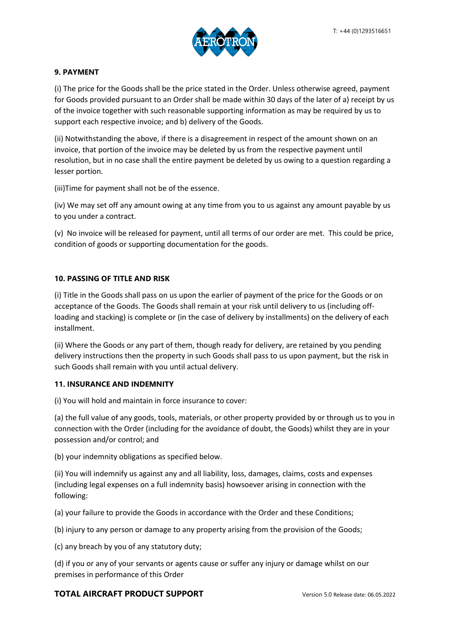

## **9. PAYMENT**

(i) The price for the Goods shall be the price stated in the Order. Unless otherwise agreed, payment for Goods provided pursuant to an Order shall be made within 30 days of the later of a) receipt by us of the invoice together with such reasonable supporting information as may be required by us to support each respective invoice; and b) delivery of the Goods.

(ii) Notwithstanding the above, if there is a disagreement in respect of the amount shown on an invoice, that portion of the invoice may be deleted by us from the respective payment until resolution, but in no case shall the entire payment be deleted by us owing to a question regarding a lesser portion.

(iii)Time for payment shall not be of the essence.

(iv) We may set off any amount owing at any time from you to us against any amount payable by us to you under a contract.

(v) No invoice will be released for payment, until all terms of our order are met. This could be price, condition of goods or supporting documentation for the goods.

## **10. PASSING OF TITLE AND RISK**

(i) Title in the Goods shall pass on us upon the earlier of payment of the price for the Goods or on acceptance of the Goods. The Goods shall remain at your risk until delivery to us (including offloading and stacking) is complete or (in the case of delivery by installments) on the delivery of each installment.

(ii) Where the Goods or any part of them, though ready for delivery, are retained by you pending delivery instructions then the property in such Goods shall pass to us upon payment, but the risk in such Goods shall remain with you until actual delivery.

## **11. INSURANCE AND INDEMNITY**

(i) You will hold and maintain in force insurance to cover:

(a) the full value of any goods, tools, materials, or other property provided by or through us to you in connection with the Order (including for the avoidance of doubt, the Goods) whilst they are in your possession and/or control; and

(b) your indemnity obligations as specified below.

(ii) You will indemnify us against any and all liability, loss, damages, claims, costs and expenses (including legal expenses on a full indemnity basis) howsoever arising in connection with the following:

(a) your failure to provide the Goods in accordance with the Order and these Conditions;

(b) injury to any person or damage to any property arising from the provision of the Goods;

(c) any breach by you of any statutory duty;

(d) if you or any of your servants or agents cause or suffer any injury or damage whilst on our premises in performance of this Order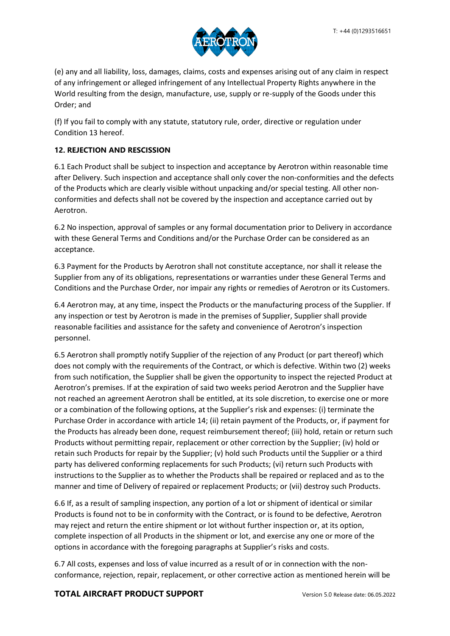

(e) any and all liability, loss, damages, claims, costs and expenses arising out of any claim in respect of any infringement or alleged infringement of any Intellectual Property Rights anywhere in the World resulting from the design, manufacture, use, supply or re-supply of the Goods under this Order; and

(f) If you fail to comply with any statute, statutory rule, order, directive or regulation under Condition 13 hereof.

# **12. REJECTION AND RESCISSION**

6.1 Each Product shall be subject to inspection and acceptance by Aerotron within reasonable time after Delivery. Such inspection and acceptance shall only cover the non-conformities and the defects of the Products which are clearly visible without unpacking and/or special testing. All other nonconformities and defects shall not be covered by the inspection and acceptance carried out by Aerotron.

6.2 No inspection, approval of samples or any formal documentation prior to Delivery in accordance with these General Terms and Conditions and/or the Purchase Order can be considered as an acceptance.

6.3 Payment for the Products by Aerotron shall not constitute acceptance, nor shall it release the Supplier from any of its obligations, representations or warranties under these General Terms and Conditions and the Purchase Order, nor impair any rights or remedies of Aerotron or its Customers.

6.4 Aerotron may, at any time, inspect the Products or the manufacturing process of the Supplier. If any inspection or test by Aerotron is made in the premises of Supplier, Supplier shall provide reasonable facilities and assistance for the safety and convenience of Aerotron's inspection personnel.

6.5 Aerotron shall promptly notify Supplier of the rejection of any Product (or part thereof) which does not comply with the requirements of the Contract, or which is defective. Within two (2) weeks from such notification, the Supplier shall be given the opportunity to inspect the rejected Product at Aerotron's premises. If at the expiration of said two weeks period Aerotron and the Supplier have not reached an agreement Aerotron shall be entitled, at its sole discretion, to exercise one or more or a combination of the following options, at the Supplier's risk and expenses: (i) terminate the Purchase Order in accordance with article 14; (ii) retain payment of the Products, or, if payment for the Products has already been done, request reimbursement thereof; (iii) hold, retain or return such Products without permitting repair, replacement or other correction by the Supplier; (iv) hold or retain such Products for repair by the Supplier; (v) hold such Products until the Supplier or a third party has delivered conforming replacements for such Products; (vi) return such Products with instructions to the Supplier as to whether the Products shall be repaired or replaced and as to the manner and time of Delivery of repaired or replacement Products; or (vii) destroy such Products.

6.6 If, as a result of sampling inspection, any portion of a lot or shipment of identical or similar Products is found not to be in conformity with the Contract, or is found to be defective, Aerotron may reject and return the entire shipment or lot without further inspection or, at its option, complete inspection of all Products in the shipment or lot, and exercise any one or more of the options in accordance with the foregoing paragraphs at Supplier's risks and costs.

6.7 All costs, expenses and loss of value incurred as a result of or in connection with the nonconformance, rejection, repair, replacement, or other corrective action as mentioned herein will be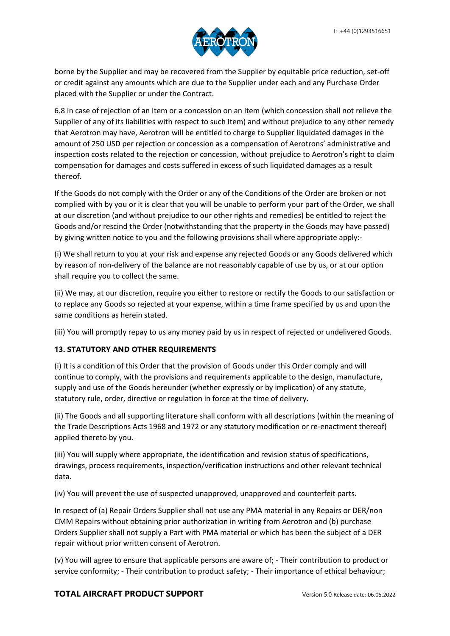

borne by the Supplier and may be recovered from the Supplier by equitable price reduction, set-off or credit against any amounts which are due to the Supplier under each and any Purchase Order placed with the Supplier or under the Contract.

6.8 In case of rejection of an Item or a concession on an Item (which concession shall not relieve the Supplier of any of its liabilities with respect to such Item) and without prejudice to any other remedy that Aerotron may have, Aerotron will be entitled to charge to Supplier liquidated damages in the amount of 250 USD per rejection or concession as a compensation of Aerotrons' administrative and inspection costs related to the rejection or concession, without prejudice to Aerotron's right to claim compensation for damages and costs suffered in excess of such liquidated damages as a result thereof.

If the Goods do not comply with the Order or any of the Conditions of the Order are broken or not complied with by you or it is clear that you will be unable to perform your part of the Order, we shall at our discretion (and without prejudice to our other rights and remedies) be entitled to reject the Goods and/or rescind the Order (notwithstanding that the property in the Goods may have passed) by giving written notice to you and the following provisions shall where appropriate apply:-

(i) We shall return to you at your risk and expense any rejected Goods or any Goods delivered which by reason of non-delivery of the balance are not reasonably capable of use by us, or at our option shall require you to collect the same.

(ii) We may, at our discretion, require you either to restore or rectify the Goods to our satisfaction or to replace any Goods so rejected at your expense, within a time frame specified by us and upon the same conditions as herein stated.

(iii) You will promptly repay to us any money paid by us in respect of rejected or undelivered Goods.

## **13. STATUTORY AND OTHER REQUIREMENTS**

(i) It is a condition of this Order that the provision of Goods under this Order comply and will continue to comply, with the provisions and requirements applicable to the design, manufacture, supply and use of the Goods hereunder (whether expressly or by implication) of any statute, statutory rule, order, directive or regulation in force at the time of delivery.

(ii) The Goods and all supporting literature shall conform with all descriptions (within the meaning of the Trade Descriptions Acts 1968 and 1972 or any statutory modification or re-enactment thereof) applied thereto by you.

(iii) You will supply where appropriate, the identification and revision status of specifications, drawings, process requirements, inspection/verification instructions and other relevant technical data.

(iv) You will prevent the use of suspected unapproved, unapproved and counterfeit parts.

In respect of (a) Repair Orders Supplier shall not use any PMA material in any Repairs or DER/non CMM Repairs without obtaining prior authorization in writing from Aerotron and (b) purchase Orders Supplier shall not supply a Part with PMA material or which has been the subject of a DER repair without prior written consent of Aerotron.

(v) You will agree to ensure that applicable persons are aware of; - Their contribution to product or service conformity; - Their contribution to product safety; - Their importance of ethical behaviour;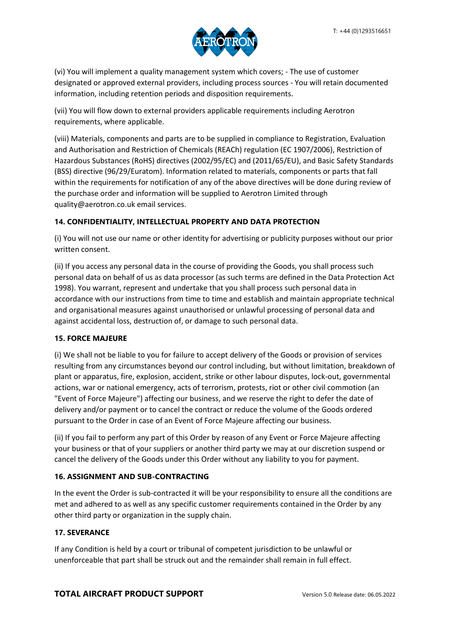

(vi) You will implement a quality management system which covers; - The use of customer designated or approved external providers, including process sources - You will retain documented information, including retention periods and disposition requirements.

(vii) You will flow down to external providers applicable requirements including Aerotron requirements, where applicable.

(viii) Materials, components and parts are to be supplied in compliance to Registration, Evaluation and Authorisation and Restriction of Chemicals (REACh) regulation (EC 1907/2006), Restriction of Hazardous Substances (RoHS) directives (2002/95/EC) and (2011/65/EU), and Basic Safety Standards (BSS) directive (96/29/Euratom). Information related to materials, components or parts that fall within the requirements for notification of any of the above directives will be done during review of the purchase order and information will be supplied to Aerotron Limited through quality@aerotron.co.uk email services.

## **14. CONFIDENTIALITY, INTELLECTUAL PROPERTY AND DATA PROTECTION**

(i) You will not use our name or other identity for advertising or publicity purposes without our prior written consent.

(ii) If you access any personal data in the course of providing the Goods, you shall process such personal data on behalf of us as data processor (as such terms are defined in the Data Protection Act 1998). You warrant, represent and undertake that you shall process such personal data in accordance with our instructions from time to time and establish and maintain appropriate technical and organisational measures against unauthorised or unlawful processing of personal data and against accidental loss, destruction of, or damage to such personal data.

## **15. FORCE MAJEURE**

(i) We shall not be liable to you for failure to accept delivery of the Goods or provision of services resulting from any circumstances beyond our control including, but without limitation, breakdown of plant or apparatus, fire, explosion, accident, strike or other labour disputes, lock-out, governmental actions, war or national emergency, acts of terrorism, protests, riot or other civil commotion (an "Event of Force Majeure") affecting our business, and we reserve the right to defer the date of delivery and/or payment or to cancel the contract or reduce the volume of the Goods ordered pursuant to the Order in case of an Event of Force Majeure affecting our business.

(ii) If you fail to perform any part of this Order by reason of any Event or Force Majeure affecting your business or that of your suppliers or another third party we may at our discretion suspend or cancel the delivery of the Goods under this Order without any liability to you for payment.

## **16. ASSIGNMENT AND SUB-CONTRACTING**

In the event the Order is sub-contracted it will be your responsibility to ensure all the conditions are met and adhered to as well as any specific customer requirements contained in the Order by any other third party or organization in the supply chain.

## **17. SEVERANCE**

If any Condition is held by a court or tribunal of competent jurisdiction to be unlawful or unenforceable that part shall be struck out and the remainder shall remain in full effect.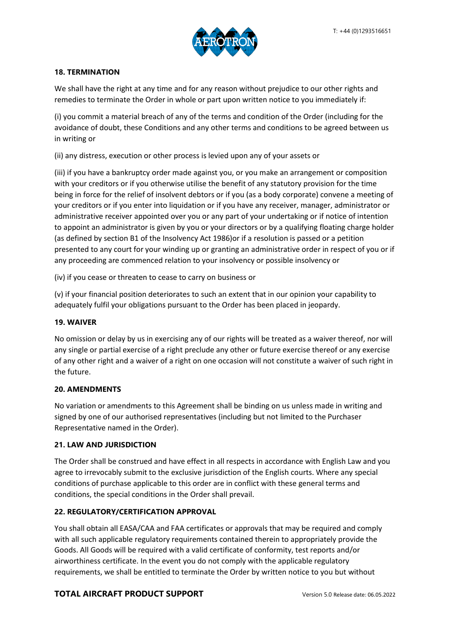

## **18. TERMINATION**

We shall have the right at any time and for any reason without prejudice to our other rights and remedies to terminate the Order in whole or part upon written notice to you immediately if:

(i) you commit a material breach of any of the terms and condition of the Order (including for the avoidance of doubt, these Conditions and any other terms and conditions to be agreed between us in writing or

(ii) any distress, execution or other process is levied upon any of your assets or

(iii) if you have a bankruptcy order made against you, or you make an arrangement or composition with your creditors or if you otherwise utilise the benefit of any statutory provision for the time being in force for the relief of insolvent debtors or if you (as a body corporate) convene a meeting of your creditors or if you enter into liquidation or if you have any receiver, manager, administrator or administrative receiver appointed over you or any part of your undertaking or if notice of intention to appoint an administrator is given by you or your directors or by a qualifying floating charge holder (as defined by section B1 of the Insolvency Act 1986)or if a resolution is passed or a petition presented to any court for your winding up or granting an administrative order in respect of you or if any proceeding are commenced relation to your insolvency or possible insolvency or

(iv) if you cease or threaten to cease to carry on business or

(v) if your financial position deteriorates to such an extent that in our opinion your capability to adequately fulfil your obligations pursuant to the Order has been placed in jeopardy.

#### **19. WAIVER**

No omission or delay by us in exercising any of our rights will be treated as a waiver thereof, nor will any single or partial exercise of a right preclude any other or future exercise thereof or any exercise of any other right and a waiver of a right on one occasion will not constitute a waiver of such right in the future.

#### **20. AMENDMENTS**

No variation or amendments to this Agreement shall be binding on us unless made in writing and signed by one of our authorised representatives (including but not limited to the Purchaser Representative named in the Order).

#### **21. LAW AND JURISDICTION**

The Order shall be construed and have effect in all respects in accordance with English Law and you agree to irrevocably submit to the exclusive jurisdiction of the English courts. Where any special conditions of purchase applicable to this order are in conflict with these general terms and conditions, the special conditions in the Order shall prevail.

## **22. REGULATORY/CERTIFICATION APPROVAL**

You shall obtain all EASA/CAA and FAA certificates or approvals that may be required and comply with all such applicable regulatory requirements contained therein to appropriately provide the Goods. All Goods will be required with a valid certificate of conformity, test reports and/or airworthiness certificate. In the event you do not comply with the applicable regulatory requirements, we shall be entitled to terminate the Order by written notice to you but without